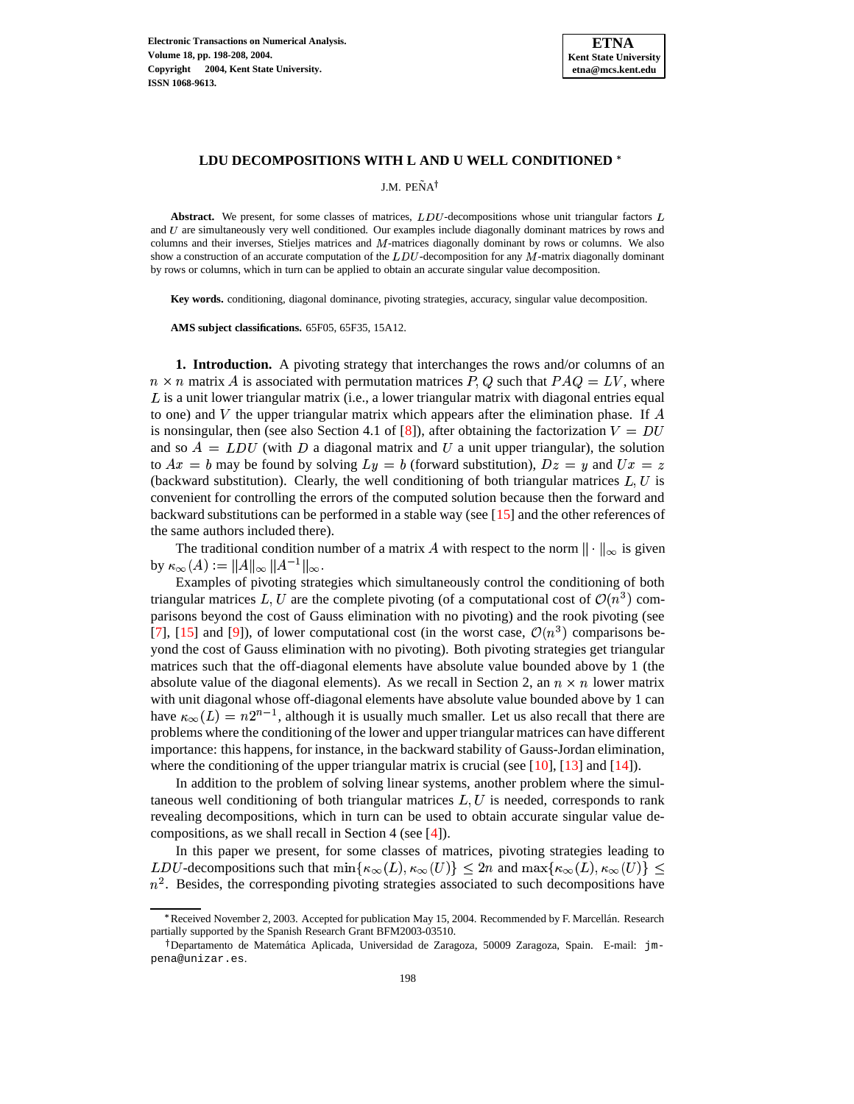

## **LDU DECOMPOSITIONS WITH L AND U WELL CONDITIONED**

J.M. PENA˜

Abstract. We present, for some classes of matrices, LDU-decompositions whose unit triangular factors and U are simultaneously very well conditioned. Our examples include diagonally dominant matrices by rows and columns and their inverses, Stieljes matrices and  $M$ -matrices diagonally dominant by rows or columns. We also show a construction of an accurate computation of the  $LDU$ -decomposition for any  $M$ -matrix diagonally dominant by rows or columns, which in turn can be applied to obtain an accurate singular value decomposition.

**Key words.** conditioning, diagonal dominance, pivoting strategies, accuracy, singular value decomposition.

**AMS subject classifications.** 65F05, 65F35, 15A12.

**1. Introduction.** A pivoting strategy that interchanges the rows and/or columns of an  $n \times n$  matrix A is associated with permutation matrices P, Q such that  $PAQ = LV$ , where  $L$  is a unit lower triangular matrix (i.e., a lower triangular matrix with diagonal entries equal to one) and V the upper triangular matrix which appears after the elimination phase. If  $\tilde{A}$ is nonsingular, then (see also Section 4.1 of [\[8\]](#page-10-0)), after obtaining the factorization  $V = DU$ and so  $A = LDU$  (with D a diagonal matrix and U a unit upper triangular), the solution to  $Ax = b$  may be found by solving  $Ly = b$  (forward substitution),  $Dz = y$  and  $Ux = z$ (backward substitution). Clearly, the well conditioning of both triangular matrices  $L, U$  is convenient for controlling the errors of the computed solution because then the forward and backward substitutions can be performed in a stable way (see [\[15\]](#page-10-1) and the other references of the same authors included there).

The traditional condition number of a matrix A with respect to the norm  $\|\cdot\|_{\infty}$  is given by  $\kappa_{\infty}(A) := ||A||_{\infty} ||A^{-1}||_{\infty}$ .

Examples of pivoting strategies which simultaneously control the conditioning of both triangular matrices L, U are the complete pivoting (of a computational cost of  $\mathcal{O}(n^3)$  comparisons beyond the cost of Gauss elimination with no pivoting) and the rook pivoting (see [\[7\]](#page-10-2), [\[15\]](#page-10-1) and [\[9\]](#page-10-3)), of lower computational cost (in the worst case,  $\mathcal{O}(n^3)$  comparisons beyond the cost of Gauss elimination with no pivoting). Both pivoting strategies get triangular matrices such that the off-diagonal elements have absolute value bounded above by 1 (the absolute value of the diagonal elements). As we recall in Section 2, an  $n \times n$  lower matrix with unit diagonal whose off-diagonal elements have absolute value bounded above by 1 can have  $\kappa_{\infty}(L) = n2^{n-1}$ , although it is usually much smaller. Let us also recall that there are problems where the conditioning of the lower and upper triangular matrices can have different importance: this happens, for instance, in the backward stability of Gauss-Jordan elimination, where the conditioning of the upper triangular matrix is crucial (see  $[10]$ ,  $[13]$  and  $[14]$ ).

In addition to the problem of solving linear systems, another problem where the simultaneous well conditioning of both triangular matrices  $L, U$  is needed, corresponds to rank revealing decompositions, which in turn can be used to obtain accurate singular value decompositions, as we shall recall in Section 4 (see [\[4\]](#page-10-7)).

In this paper we present, for some classes of matrices, pivoting strategies leading to LDU-decompositions such that  $\min\{\kappa_\infty(L), \kappa_\infty(U)\}\leq 2n$  and  $\max\{\kappa_\infty(L), \kappa_\infty(U)\}\leq$  $n<sup>2</sup>$ . Besides, the corresponding pivoting strategies associated to such decompositions have

<sup>\*</sup> Received November 2, 2003. Accepted for publication May 15, 2004. Recommended by F. Marcellán. Research partially supported by the Spanish Research Grant BFM2003-03510.

<sup>&</sup>lt;sup>†</sup> Departamento de Matemática Aplicada, Universidad de Zaragoza, 50009 Zaragoza, Spain. E-mail: jmpena@unizar.es.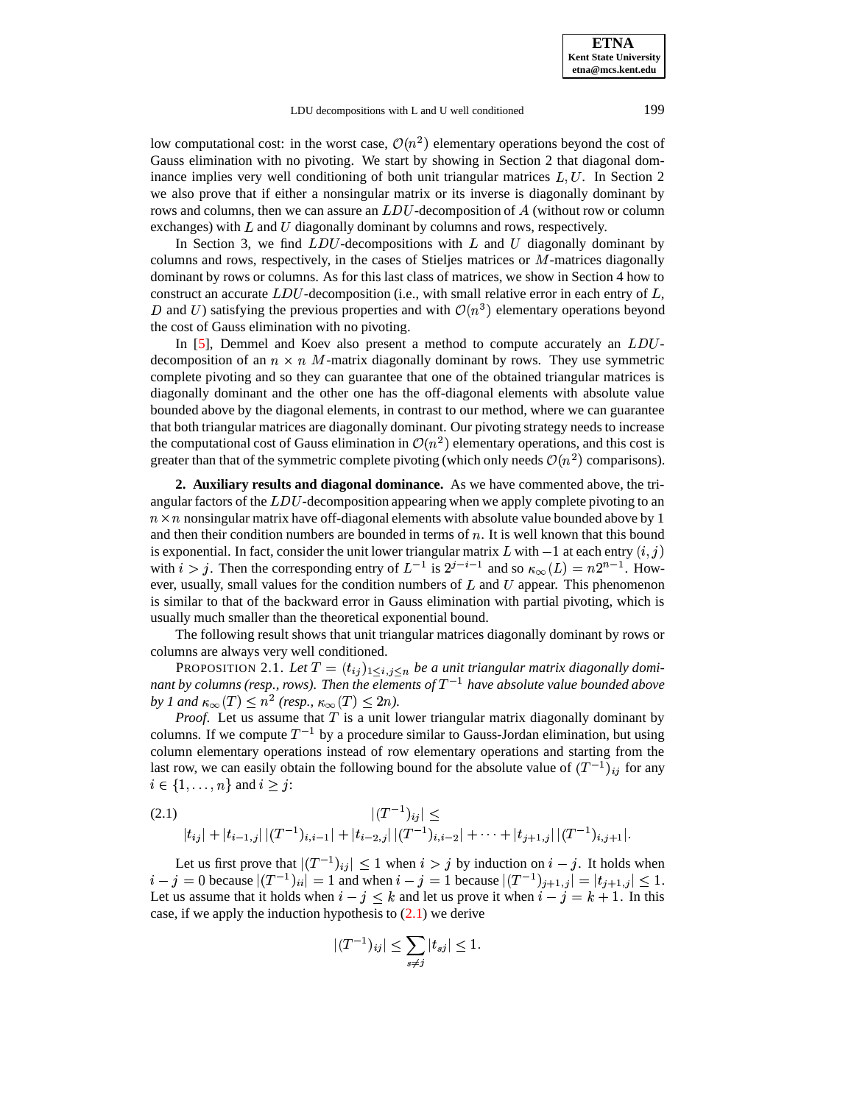**ETNA Kent State University etna@mcs.kent.edu**

low computational cost: in the worst case,  $\mathcal{O}(n^2)$  elementary operations beyond the cost of

Gauss elimination with no pivoting. We start by showing in Section 2 that diagonal dominance implies very well conditioning of both unit triangular matrices  $L, U$ . In Section 2 we also prove that if either a nonsingular matrix or its inverse is diagonally dominant by rows and columns, then we can assure an  $LDU$ -decomposition of  $A$  (without row or column exchanges) with  $L$  and  $U$  diagonally dominant by columns and rows, respectively.

In Section 3, we find  $LDU$ -decompositions with  $L$  and  $U$  diagonally dominant by columns and rows, respectively, in the cases of Stieljes matrices or  $M$ -matrices diagonally dominant by rows or columns. As for this last class of matrices, we show in Section 4 how to construct an accurate  $LDU$ -decomposition (i.e., with small relative error in each entry of  $L$ , D and U) satisfying the previous properties and with  $\mathcal{O}(n^3)$  elementary operations beyond the cost of Gauss elimination with no pivoting.

In  $[5]$ , Demmel and Koev also present a method to compute accurately an  $LDU$ decomposition of an  $n \times n$  M-matrix diagonally dominant by rows. They use symmetric complete pivoting and so they can guarantee that one of the obtained triangular matrices is diagonally dominant and the other one has the off-diagonal elements with absolute value bounded above by the diagonal elements, in contrast to our method, where we can guarantee that both triangular matrices are diagonally dominant. Our pivoting strategy needs to increase the computational cost of Gauss elimination in  $\mathcal{O}(n^2)$  elementary operations, and this cost is greater than that of the symmetric complete pivoting (which only needs  $\mathcal{O}(n^2)$  comparisons).

**2. Auxiliary results and diagonal dominance.** As we have commented above, the triangular factors of the  $LDU$ -decomposition appearing when we apply complete pivoting to an  $n \times n$  nonsingular matrix have off-diagonal elements with absolute value bounded above by 1 and then their condition numbers are bounded in terms of  $n$ . It is well known that this bound is exponential. In fact, consider the unit lower triangular matrix L with  $-1$  at each entry  $(i, j)$ with  $i > j$ . Then the corresponding entry of  $L^{-1}$  is  $2^{j-i-1}$  and so  $\kappa_{\infty}(L) = n2^{n-1}$ . However, usually, small values for the condition numbers of  $L$  and  $U$  appear. This phenomenon is similar to that of the backward error in Gauss elimination with partial pivoting, which is usually much smaller than the theoretical exponential bound.

<span id="page-1-1"></span>The following result shows that unit triangular matrices diagonally dominant by rows or columns are always very well conditioned.

PROPOSITION 2.1. Let  $T = (t_{ij})_{1 \le i,j \le n}$  be a unit triangular matrix diagonally domi*nant* by columns (resp., rows). Then the elements of  $T^{-1}$  have absolute value bounded above by *1* and  $\kappa_{\infty}(T) \leq n^2$  (resp.,  $\kappa_{\infty}(T) \leq 2n$ ).

*Proof.* Let us assume that  $T$  is a unit lower triangular matrix diagonally dominant by columns. If we compute  $T^{-1}$  by a procedure similar to Gauss-Jordan elimination, but using column elementary operations instead of row elementary operations and starting from the last row, we can easily obtain the following bound for the absolute value of  $(T^{-1})_{ij}$  for any  $i \in \{1, \ldots, n\}$  and  $i \geq j$ :

<span id="page-1-0"></span>
$$
(2.1) \qquad |(T^{-1})_{ij}| \leq
$$
  
 
$$
|t_{ij}| + |t_{i-1,j}| |(T^{-1})_{i,i-1}| + |t_{i-2,j}| |(T^{-1})_{i,i-2}| + \cdots + |t_{j+1,j}| |(T^{-1})_{i,j+1}|.
$$

Let us first prove that  $|(T^{-1})_{ij}| \leq 1$  when  $i > j$  by induction on  $i - j$ . It holds when  $i - j = 0$  because  $|(T^{-1})_{ii}| = 1$  and when  $i - j = 1$  because  $|(T^{-1})_{j+1,j}| = |t_{j+1,j}| \leq 1$ . Let us assume that it holds when  $i - j \leq k$  and let us prove it when  $i - j = k + 1$ . In this case, if we apply the induction hypothesis to  $(2.1)$  we derive

$$
|(T^{-1})_{ij}| \leq \sum_{s \neq j} |t_{sj}| \leq 1.
$$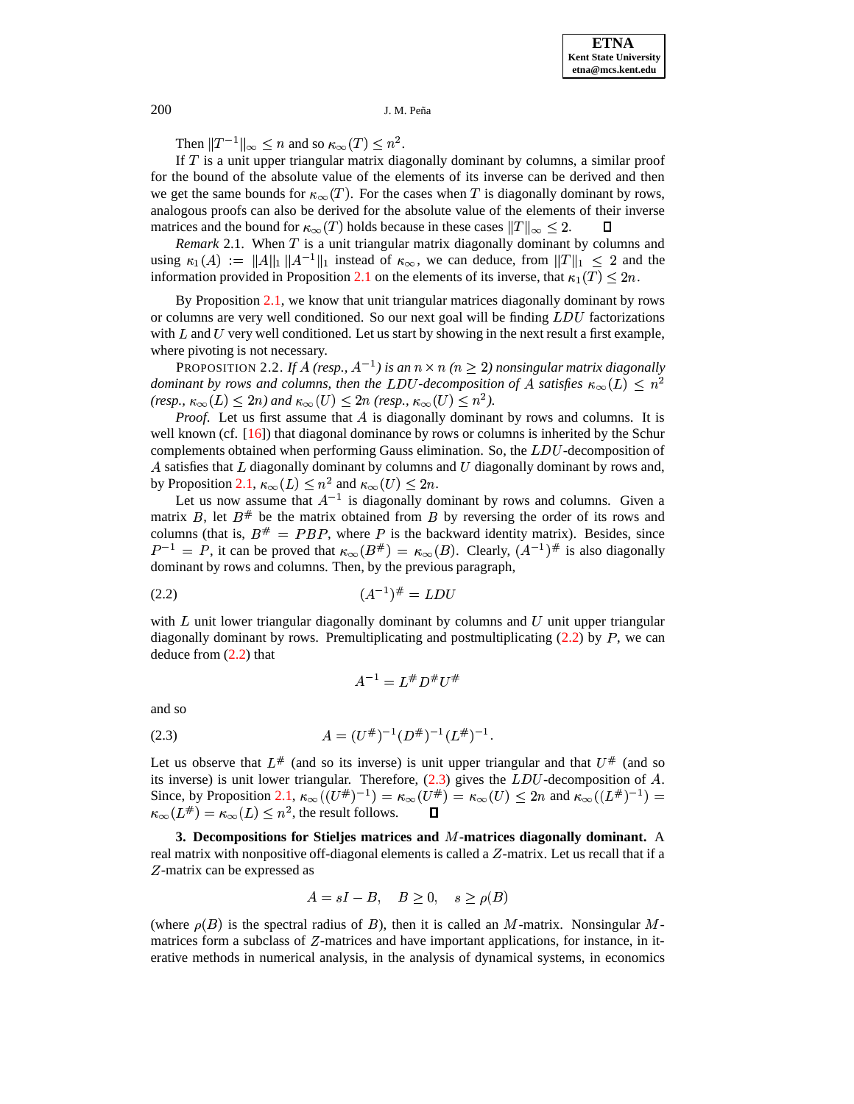Then  $||T^{-1}||_{\infty} \leq n$  and so  $\kappa_{\infty}(T) \leq n^2$ .

If  $T$  is a unit upper triangular matrix diagonally dominant by columns, a similar proof for the bound of the absolute value of the elements of its inverse can be derived and then we get the same bounds for  $\kappa_{\infty}(T)$ . For the cases when T is diagonally dominant by rows, analogous proofs can also be derived for the absolute value of the elements of their inverse matrices and the bound for  $\kappa_{\infty}(T)$  holds because in these cases  $||T||_{\infty} \leq 2$ .

*Remark* 2.1. When  $T$  is a unit triangular matrix diagonally dominant by columns and using  $\kappa_1(A) := \|A\|_1 \|A^{-1}\|_1$  instead of  $\kappa_\infty$ , we can deduce, from  $||T||_1 \leq 2$  and the information provided in Proposition [2.1](#page-1-1) on the elements of its inverse, that  $\kappa_1(T) \leq 2n$ .

By Proposition [2.1,](#page-1-1) we know that unit triangular matrices diagonally dominant by rows or columns are very well conditioned. So our next goal will be finding  $LDU$  factorizations with  $L$  and  $U$  very well conditioned. Let us start by showing in the next result a first example, where pivoting is not necessary.

PROPOSITION 2.2. If A (resp.,  $A^{-1}$ ) is an  $n \times n$  ( $n \geq 2$ ) nonsingular matrix diagonally *dominant by rows and columns, then the LDU-decomposition of A satisfies*  $\kappa_{\infty}(L) \leq n^2$ *(resp.,*  $\kappa_{\infty}(L) < 2n$ *)* and  $\kappa_{\infty}(U) \leq 2n$  *(resp.,*  $\kappa_{\infty}(U) \leq n^2$ *).* 

Proof. Let us first assume that A is diagonally dominant by rows and columns. It is well known (cf.  $[16]$ ) that diagonal dominance by rows or columns is inherited by the Schur complements obtained when performing Gauss elimination. So, the  $LDU$ -decomposition of A satisfies that  $L$  diagonally dominant by columns and  $U$  diagonally dominant by rows and, by Proposition [2.1,](#page-1-1)  $\kappa_{\infty}(L) \leq n^2$  and  $\kappa_{\infty}(U) \leq 2n$ .

Let us now assume that  $A^{-1}$  is diagonally dominant by rows and columns. Given a matrix B, let  $B^{\#}$  be the matrix obtained from B by reversing the order of its rows and columns (that is,  $B^* = PBP$ , where P is the backward identity matrix). Besides, since  $P^{-1} = P$ , it can be proved that  $\kappa_{\infty}(B^*) = \kappa_{\infty}(B)$ . Clearly,  $(A^{-1})^*$  is also diagonally dominant by rows and columns. Then, by the previous paragraph,

<span id="page-2-0"></span>
$$
(2.2) \t\t (A^{-1})^{\#} = LDU
$$

with  $L$  unit lower triangular diagonally dominant by columns and  $U$  unit upper triangular diagonally dominant by rows. Premultiplicating and postmultiplicating  $(2.2)$  by P, we can deduce from [\(2.2\)](#page-2-0) that

$$
A^{-1} = L^\# D^\# U^\#
$$

and so

<span id="page-2-1"></span>
$$
(2.3) \t\t A = (U^{\#})^{-1}(D^{\#})^{-1}(L^{\#})^{-1}.
$$

Let us observe that  $L^{\#}$  (and so its inverse) is unit upper triangular and that  $U^{\#}$  (and so its inverse) is unit lower triangular. Therefore,  $(2.3)$  gives the  $LDU$ -decomposition of A. Since, by Proposition [2.1,](#page-1-1)  $\kappa_{\infty}((U^{\#})^{-1}) = \kappa_{\infty}(U^{\#}) = \kappa_{\infty}(U) \leq 2n$  and  $\kappa_{\infty}((L^{\#})^{-1}) =$  $\kappa_{\infty}(L^{\#}) = \kappa_{\infty}(L) \leq n^2$ , the result follows.  $\mathsf{\Pi}$ 

**3. Decompositions for Stieljes matrices and -matrices diagonally dominant.** A real matrix with nonpositive off-diagonal elements is called a  $Z$ -matrix. Let us recall that if a Z-matrix can be expressed as

$$
A = sI - B, \quad B \ge 0, \quad s \ge \rho(B)
$$

(where  $\rho(B)$  is the spectral radius of B), then it is called an M-matrix. Nonsingular Mmatrices form a subclass of  $Z$ -matrices and have important applications, for instance, in iterative methods in numerical analysis, in the analysis of dynamical systems, in economics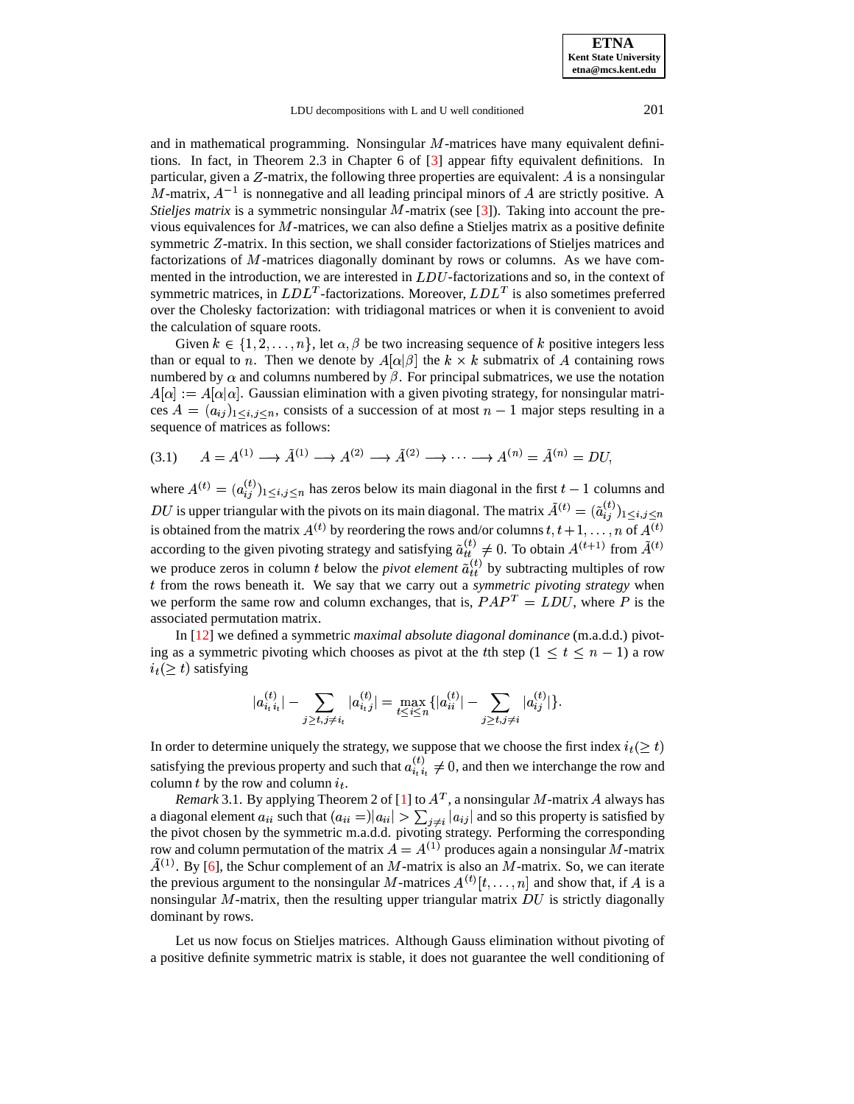#### LDU decompositions with L and U well conditioned 201

and in mathematical programming. Nonsingular  $M$ -matrices have many equivalent definitions. In fact, in Theorem 2.3 in Chapter 6 of [\[3\]](#page-10-10) appear fifty equivalent definitions. In particular, given a  $Z$ -matrix, the following three properties are equivalent:  $A$  is a nonsingular M-matrix,  $A^{-1}$  is nonnegative and all leading principal minors of A are strictly positive. A *Stieljes matrix* is a symmetric nonsingular M-matrix (see [\[3\]](#page-10-10)). Taking into account the previous equivalences for  $M$ -matrices, we can also define a Stieljes matrix as a positive definite symmetric  $Z$ -matrix. In this section, we shall consider factorizations of Stieljes matrices and factorizations of M-matrices diagonally dominant by rows or columns. As we have commented in the introduction, we are interested in  $LDU$ -factorizations and so, in the context of symmetric matrices, in  $LDL<sup>T</sup>$ -factorizations. Moreover,  $LDL<sup>T</sup>$  is also sometimes preferred over the Cholesky factorization: with tridiagonal matrices or when it is convenient to avoid the calculation of square roots.

Given  $k \in \{1, 2, \ldots, n\}$ , let  $\alpha, \beta$  be two increasing sequence of k positive integers less than or equal to *n*. Then we denote by  $A[\alpha|\beta]$  the  $k \times k$  submatrix of A containing rows numbered by  $\alpha$  and columns numbered by  $\beta$ . For principal submatrices, we use the notation  $A[\alpha] := A[\alpha]\alpha$ . Gaussian elimination with a given pivoting strategy, for nonsingular matrices  $A = (a_{ij})_{1 \le i,j \le n}$ , consists of a succession of at most  $n-1$  major steps resulting in a sequence of matrices as follows:

<span id="page-3-0"></span>
$$
(3.1) \qquad A = A^{(1)} \longrightarrow \tilde{A}^{(1)} \longrightarrow A^{(2)} \longrightarrow \tilde{A}^{(2)} \longrightarrow \cdots \longrightarrow A^{(n)} = \tilde{A}^{(n)} = DU,
$$

where  $A^{(t)} = (a_{ij}^{(t)})_{1 \le i,j \le n}$  $\binom{t}{i}$ <sub>1</sub>  $\leq$ <sub>1</sub>  $\leq$ <sub>1</sub> has zeros below its main diagonal in the first  $t-1$  columns and DU is upper triangular with the pivots on its main diagonal. The matrix  $\tilde{A}^{(t)} = (\tilde{a}_{i,j}^{(t)})_{1 \le i,j \le n}$ is obtained from the matrix  $A^{(t)}$  by reordering the rows and/or columns  $t, t+1, \ldots, n$  of  $A^{(t)}$ according to the given pivoting strategy and satisfying  $\tilde{a}_{tt}^{(t)} \neq 0$ . To obtain  $A^{(t+1)}$  from  $\tilde{A}^{(t)}$ we produce zeros in column t below the *pivot element*  $\tilde{a}_{tt}^{(t)}$  by subtracting multiples of row from the rows beneath it. We say that we carry out a *symmetric pivoting strategy* when we perform the same row and column exchanges, that is,  $PAP<sup>T</sup> = LDU$ , where P is the associated permutation matrix.

In [\[12\]](#page-10-11) we defined a symmetric *maximal absolute diagonal dominance* (m.a.d.d.) pivoting as a symmetric pivoting which chooses as pivot at the the step  $(1 \le t \le n - 1)$  a row  $i_t(\geq t)$  satisfying

$$
|a_{i_t i_t}^{(t)}| - \sum_{j \geq t, j \neq i_t} |a_{i_t j}^{(t)}| = \max_{t \leq i \leq n} \{ |a_{ii}^{(t)}| - \sum_{j \geq t, j \neq i} |a_{ij}^{(t)}| \}.
$$

In order to determine uniquely the strategy, we suppose that we choose the first index  $i_t (\geq t)$ satisfying the previous property and such that  $a_{i,i}^{(t)} \neq 0$ , and then we interchange the row and column t by the row and column  $i_t$ .

*Remark* 3.1. By applying Theorem 2 of [\[1\]](#page-10-12) to  $A<sup>T</sup>$ , a nonsingular M-matrix A always has a diagonal element  $a_{ii}$  such that  $(a_{ii} = ||a_{ii}| > \sum_{i \neq i}$  $\frac{1}{\sum_{i \neq i} a_{ij}}$  $|a_{ij}|$  and so this property is satisfied by the pivot chosen by the symmetric m.a.d.d. pivoting strategy. Performing the corresponding row and column permutation of the matrix  $A = A^{(1)}$  produces again a nonsingular M-matrix  $A^{(1)}$ . By [\[6\]](#page-10-13), the Schur complement of an M-matrix is also an M-matrix. So, we can iterate the previous argument to the nonsingular M-matrices  $A^{(t)}[t, \ldots, n]$  and show that, if A is a nonsingular M-matrix, then the resulting upper triangular matrix  $DU$  is strictly diagonally dominant by rows.

Let us now focus on Stieljes matrices. Although Gauss elimination without pivoting of a positive definite symmetric matrix is stable, it does not guarantee the well conditioning of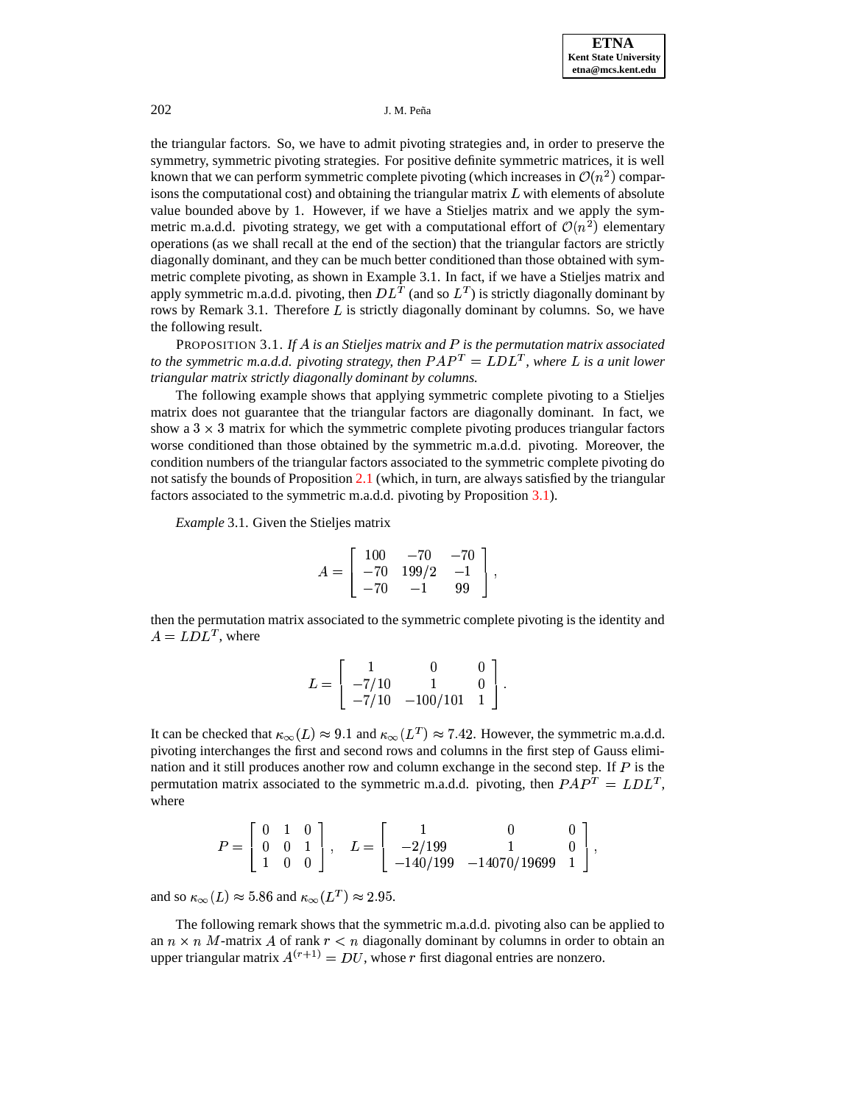the triangular factors. So, we have to admit pivoting strategies and, in order to preserve the symmetry, symmetric pivoting strategies. For positive definite symmetric matrices, it is well known that we can perform symmetric complete pivoting (which increases in  $\mathcal{O}(n^2)$  comparisons the computational cost) and obtaining the triangular matrix  $L$  with elements of absolute value bounded above by 1. However, if we have a Stieljes matrix and we apply the symmetric m.a.d.d. pivoting strategy, we get with a computational effort of  $\mathcal{O}(n^2)$  elementary operations (as we shall recall at the end of the section) that the triangular factors are strictly diagonally dominant, and they can be much better conditioned than those obtained with symmetric complete pivoting, as shown in Example 3.1. In fact, if we have a Stieljes matrix and apply symmetric m.a.d.d. pivoting, then  $DL^{\overline{T}}$  (and so  $L^T$ ) is strictly diagonally dominant by rows by Remark 3.1. Therefore  $L$  is strictly diagonally dominant by columns. So, we have the following result.

<span id="page-4-0"></span>PROPOSITION 3.1. If A is an Stieljes matrix and P is the permutation matrix associated to the symmetric m.a.d.d. pivoting strategy, then  $PAP<sup>T</sup> = LDL<sup>T</sup>$ , where L is a unit lower *triangular matrix strictly diagonally dominant by columns.*

The following example shows that applying symmetric complete pivoting to a Stieljes matrix does not guarantee that the triangular factors are diagonally dominant. In fact, we show a  $3 \times 3$  matrix for which the symmetric complete pivoting produces triangular factors worse conditioned than those obtained by the symmetric m.a.d.d. pivoting. Moreover, the condition numbers of the triangular factors associated to the symmetric complete pivoting do not satisfy the bounds of Proposition [2.1](#page-1-1) (which, in turn, are always satisfied by the triangular factors associated to the symmetric m.a.d.d. pivoting by Proposition [3.1\)](#page-4-0).

*Example* 3.1. Given the Stieljes matrix

$$
A=\left[\begin{array}{ccc}100&-70&-70\\-70&199/2&-1\\-70&-1&99\end{array}\right],
$$

the contract of the contract of the contract of

then the permutation matrix associated to the symmetric complete pivoting is the identity and  $A = LDL^T$ , where

$$
L = \left[ \begin{array}{ccc} 1 & 0 & 0 \\ -7/10 & 1 & 0 \\ -7/10 & -100/101 & 1 \end{array} \right].
$$

It can be checked that  $\kappa_{\infty}(L) \approx 9.1$  and  $\kappa_{\infty}(L^T) \approx 7.42$ . However, the symmetric m.a.d.d. pivoting interchanges the first and second rows and columns in the first step of Gauss elimination and it still produces another row and column exchange in the second step. If  $P$  is the permutation matrix associated to the symmetric m.a.d.d. pivoting, then  $PAP<sup>T</sup> = LDL<sup>T</sup>$ , where

$$
P=\left[\begin{array}{ccc} 0 & 1 & 0 \\ 0 & 0 & 1 \\ 1 & 0 & 0 \end{array}\right],\quad L=\left[\begin{array}{ccc} 1 & 0 & 0 \\ -2/199 & 1 & 0 \\ -140/199 & -14070/19699 & 1 \end{array}\right],
$$

and so  $\kappa_\infty(L) \approx 5.86$  and  $\kappa_\infty(L^T) \approx 2.95.$ 

The following remark shows that the symmetric m.a.d.d. pivoting also can be applied to an  $n \times n$  M-matrix A of rank  $r < n$  diagonally dominant by columns in order to obtain an upper triangular matrix  $A^{(r+1)} = DU$ , whose r first diagonal entries are nonzero.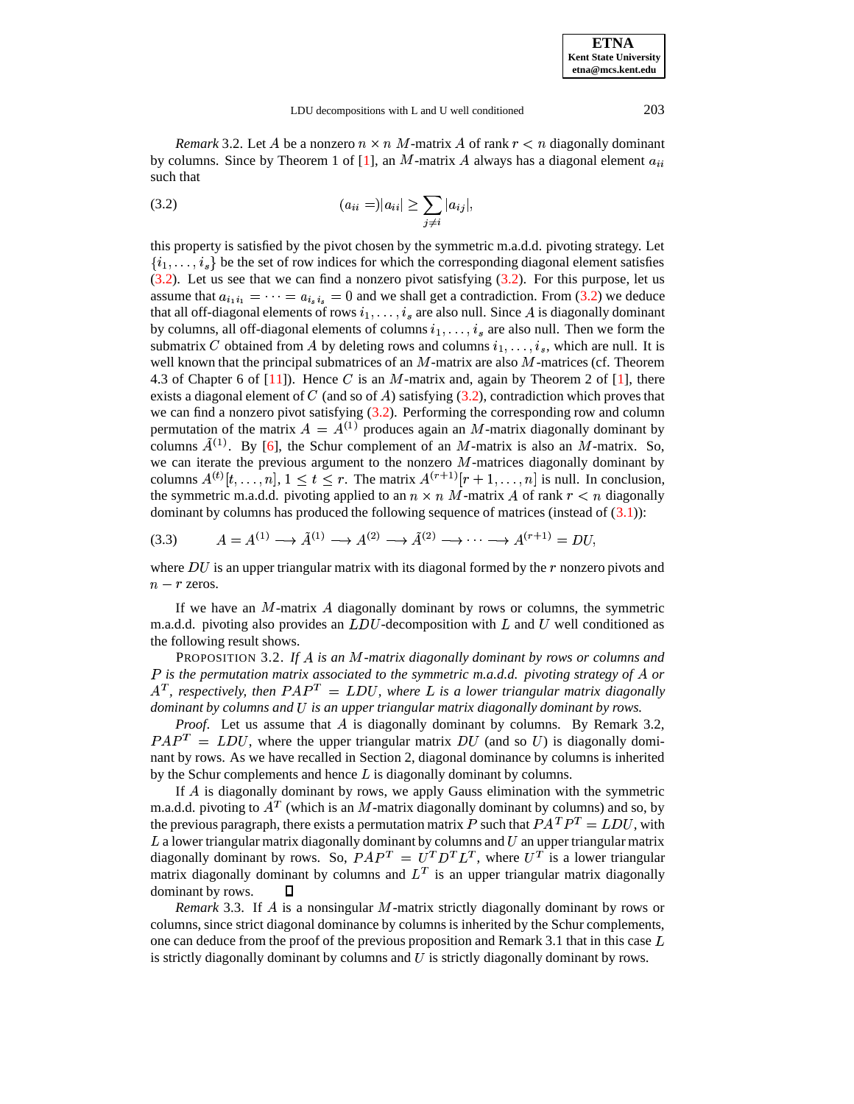*Remark* 3.2. Let A be a nonzero  $n \times n$  M-matrix A of rank  $r < n$  diagonally dominant by columns. Since by Theorem 1 of [\[1\]](#page-10-12), an M-matrix A always has a diagonal element  $a_{ii}$ such that

<span id="page-5-0"></span>(3.2) 
$$
(a_{ii} =)|a_{ii}| \geq \sum_{j \neq i} |a_{ij}|,
$$

this property is satisfied by the pivot chosen by the symmetric m.a.d.d. pivoting strategy. Let this property is satisfied by the pivot chosen by the symmetric m.a.d.d. pivoting strategy. Let  $\{i_1, \ldots, i_s\}$  be the set of row indices for which the corresponding diagonal element satisfies  $(3.2)$ . Let us see that we can find a nonzero pivot satisfying  $(3.2)$ . For this purpose, let us assume that  $a_{i_1 i_1} = \cdots = a_{i_s i_s} = 0$  and we shall get a contradiction. From [\(3.2\)](#page-5-0) we deduce assume that  $a_{i_1 i_1} = \cdots = a_{i_s i_s} = 0$  and we shall get a contradiction. From (3.2) we deduce that all off-diagonal elements of rows  $i_1, \ldots, i_s$  are also null. Since A is diagonally dominant that all off-diagonal elements of rows  $i_1, \ldots, i_s$  are also null. Since A is diagonally dominant<br>by columns, all off-diagonal elements of columns  $i_1, \ldots, i_s$  are also null. Then we form the by columns, all off-diagonal elements of columns  $i_1, \ldots, i_s$  are also null. Then we form the submatrix C obtained from A by deleting rows and columns  $i_1, \ldots, i_s$ , which are null. It is well known that the principal submatrices of an  $M$ -matrix are also  $M$ -matrices (cf. Theorem 4.3 of Chapter 6 of  $[11]$ ). Hence C is an M-matrix and, again by Theorem 2 of  $[1]$ , there exists a diagonal element of C (and so of A) satisfying  $(3.2)$ , contradiction which proves that we can find a nonzero pivot satisfying  $(3.2)$ . Performing the corresponding row and column permutation of the matrix  $A = A^{(1)}$  produces again an M-matrix diagonally dominant by columns  $A^{(1)}$ . By [\[6\]](#page-10-13), the Schur complement of an M-matrix is also an M-matrix. So, we can iterate the previous argument to the nonzero  $M$ -matrices diagonally dominant by columns  $A^{(t)}[t, \ldots, n], 1 \le t \le r$ . The matrix  $A^{(r+1)}[r+1, \ldots, n]$  is null. In conclusion, the symmetric m.a.d.d. pivoting applied to an  $n \times n$  M-matrix A of rank  $r < n$  diagonally dominant by columns has produced the following sequence of matrices (instead of [\(3.1\)](#page-3-0)):

<span id="page-5-1"></span>
$$
(3.3) \qquad A = A^{(1)} \longrightarrow \tilde{A}^{(1)} \longrightarrow A^{(2)} \longrightarrow \tilde{A}^{(2)} \longrightarrow \cdots \longrightarrow A^{(r+1)} = DU,
$$

where  $DU$  is an upper triangular matrix with its diagonal formed by the  $r$  nonzero pivots and  $n-r$  zeros.

If we have an  $M$ -matrix  $A$  diagonally dominant by rows or columns, the symmetric m.a.d.d. pivoting also provides an  $LDU$ -decomposition with  $L$  and  $U$  well conditioned as the following result shows.

<span id="page-5-2"></span>PROPOSITION 3.2. If A is an M-matrix diagonally dominant by rows or columns and *is the permutation matrix associated to the symmetric m.a.d.d. pivoting strategy of or*  $A<sup>T</sup>$ , respectively, then  $PAP<sup>T</sup> = LDU$ , where L is a lower triangular matrix diagonally *dominant by columns and is an upper triangular matrix diagonally dominant by rows.*

Proof. Let us assume that A is diagonally dominant by columns. By Remark 3.2,  $PAP^T = LDU$ , where the upper triangular matrix DU (and so U) is diagonally dominant by rows. As we have recalled in Section 2, diagonal dominance by columns is inherited by the Schur complements and hence  $L$  is diagonally dominant by columns.

If A is diagonally dominant by rows, we apply Gauss elimination with the symmetric m.a.d.d. pivoting to  $A<sup>T</sup>$  (which is an M-matrix diagonally dominant by columns) and so, by the previous paragraph, there exists a permutation matrix P such that  $PA^T P^T = L D U$ , with  $L$  a lower triangular matrix diagonally dominant by columns and  $U$  an upper triangular matrix diagonally dominant by rows. So,  $PAP^{T} = U^{T}D^{T}L^{T}$ , where  $U^{T}$  is a lower triangular matrix diagonally dominant by columns and  $L<sup>T</sup>$  is an upper triangular matrix diagonally dominant by rows. П

Remark 3.3. If A is a nonsingular M-matrix strictly diagonally dominant by rows or columns, since strict diagonal dominance by columns is inherited by the Schur complements, one can deduce from the proof of the previous proposition and Remark 3.1 that in this case  $L$ is strictly diagonally dominant by columns and  $U$  is strictly diagonally dominant by rows.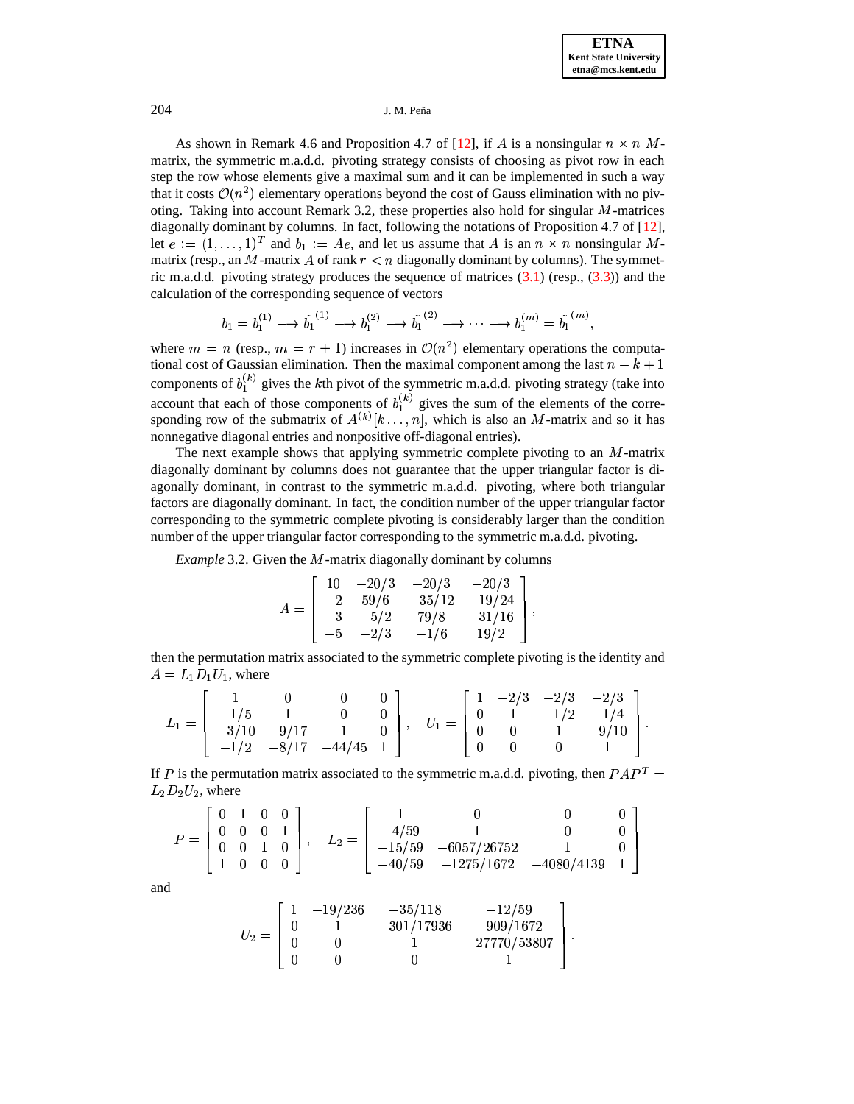As shown in Remark 4.6 and Proposition 4.7 of [\[12\]](#page-10-11), if A is a nonsingular  $n \times n$  Mmatrix, the symmetric m.a.d.d. pivoting strategy consists of choosing as pivot row in each step the row whose elements give a maximal sum and it can be implemented in such a way that it costs  $\mathcal{O}(n^2)$  elementary operations beyond the cost of Gauss elimination with no pivoting. Taking into account Remark 3.2, these properties also hold for singular M-matrices diagonally dominant by columns. In fact, following the notations of Proposition 4.7 of [\[12\]](#page-10-11), let  $e := (1, \ldots, 1)^T$  and  $b_1 := Ae$ , and let us assume that A is an  $n \times n$  nonsingular Mmatrix (resp., an M-matrix A of rank  $r < n$  diagonally dominant by columns). The symmetric m.a.d.d. pivoting strategy produces the sequence of matrices  $(3.1)$  (resp.,  $(3.3)$ ) and the calculation of the corresponding sequence of vectors

$$
b_1 = b_1^{(1)} \longrightarrow \tilde{b_1}^{(1)} \longrightarrow b_1^{(2)} \longrightarrow \tilde{b_1}^{(2)} \longrightarrow \cdots \longrightarrow b_1^{(m)} = \tilde{b_1}^{(m)},
$$

where  $m = n$  (resp.,  $m = r + 1$ ) increases in  $\mathcal{O}(n^2)$  elementary operations the computational cost of Gaussian elimination. Then the maximal component among the last  $n - k + 1$ components of  $b_1^{(k)}$  gives the kth pivot of the symmetric m.a.d.d. pivoting strategy (take into account that each of those components of  $b_1^{(k)}$  gives the sum of the elements of the corresponding row of the submatrix of  $A^{(k)}[k...;n]$ , which is also an M-matrix and so it has nonnegative diagonal entries and nonpositive off-diagonal entries).

The next example shows that applying symmetric complete pivoting to an  $M$ -matrix diagonally dominant by columns does not guarantee that the upper triangular factor is diagonally dominant, in contrast to the symmetric m.a.d.d. pivoting, where both triangular factors are diagonally dominant. In fact, the condition number of the upper triangular factor corresponding to the symmetric complete pivoting is considerably larger than the condition number of the upper triangular factor corresponding to the symmetric m.a.d.d. pivoting.

*Example* 3.2. Given the M-matrix diagonally dominant by columns

$$
A = \left[\begin{array}{rrrr} 10 & -20/3 & -20/3 & -20/3 \\ -2 & 59/6 & -35/12 & -19/24 \\ -3 & -5/2 & 79/8 & -31/16 \\ -5 & -2/3 & -1/6 & 19/2 \end{array}\right],
$$

then the permutation matrix associated to the symmetric complete pivoting is the identity and  $A = L_1 D_1 U_1$ , where

$$
L_1 = \left[\begin{array}{cccc} 1 & 0 & 0 & 0 \\ -1/5 & 1 & 0 & 0 \\ -3/10 & -9/17 & 1 & 0 \\ -1/2 & -8/17 & -44/45 & 1 \end{array}\right], \quad U_1 = \left[\begin{array}{cccc} 1 & -2/3 & -2/3 & -2/3 \\ 0 & 1 & -1/2 & -1/4 \\ 0 & 0 & 1 & -9/10 \\ 0 & 0 & 0 & 1 \end{array}\right].
$$

If P is the permutation matrix associated to the symmetric m.a.d.d. pivoting, then  $PAP<sup>T</sup>$  =  $L_2 D_2 U_2$ , where

$$
P = \begin{bmatrix} 0 & 1 & 0 & 0 \\ 0 & 0 & 0 & 1 \\ 0 & 0 & 1 & 0 \\ 1 & 0 & 0 & 0 \end{bmatrix}, \quad L_2 = \begin{bmatrix} 1 & 0 & 0 & 0 \\ -4/59 & 1 & 0 & 0 \\ -15/59 & -6057/26752 & 1 & 0 \\ -40/59 & -1275/1672 & -4080/4139 & 1 \end{bmatrix}
$$

and

$$
U_2=\left[\begin{array}{cccc} 1 & -19/236 & -35/118 & -12/59 \\ 0 & 1 & -301/17936 & -909/1672 \\ 0 & 0 & 1 & -27770/53807 \\ 0 & 0 & 0 & 1 \end{array}\right].
$$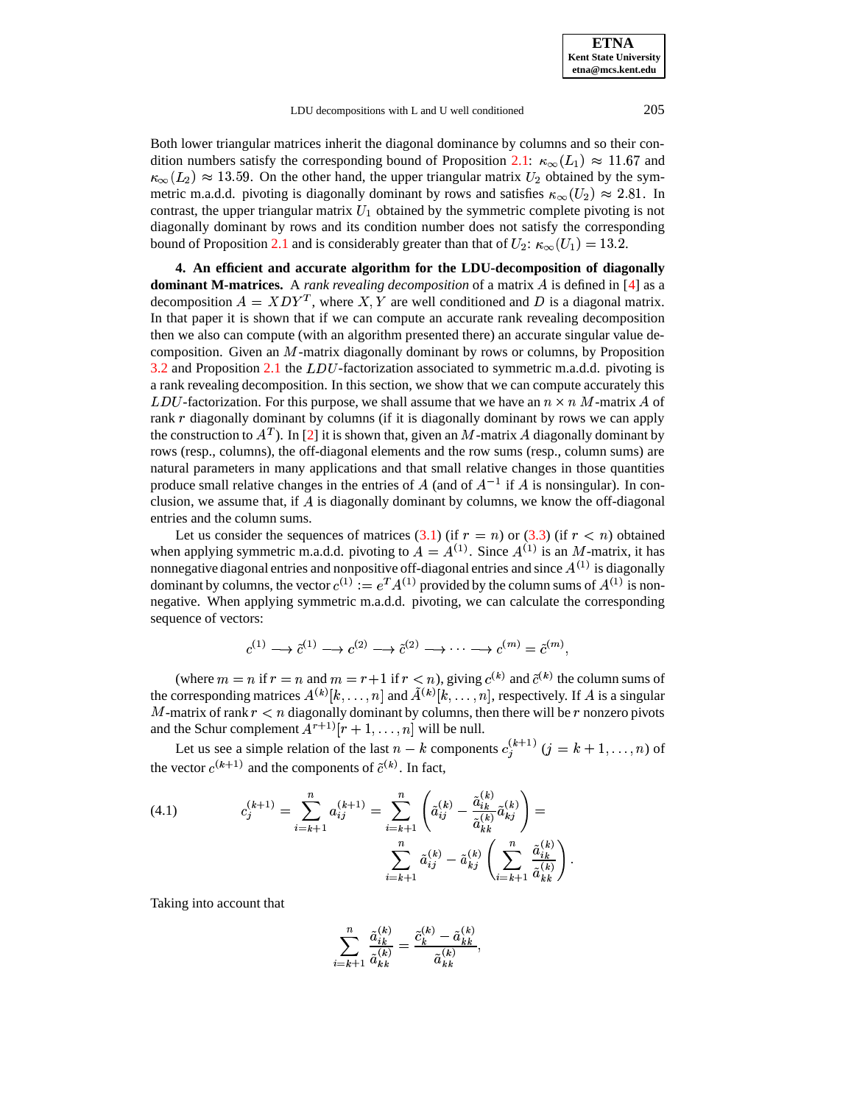**ETNA Kent State University etna@mcs.kent.edu**

LDU decompositions with L and U well conditioned 205

Both lower triangular matrices inherit the diagonal dominance by columns and so their con-dition numbers satisfy the corresponding bound of Proposition [2.1:](#page-1-1)  $\kappa_{\infty}(L_1) \approx 11.67$  and  $\kappa_{\infty}(L_2) \approx 13.59$ . On the other hand, the upper triangular matrix  $U_2$  obtained by the symmetric m.a.d.d. pivoting is diagonally dominant by rows and satisfies  $\kappa_{\infty}(U_2) \approx 2.81$ . In contrast, the upper triangular matrix  $U_1$  obtained by the symmetric complete pivoting is not diagonally dominant by rows and its condition number does not satisfy the corresponding bound of Proposition [2.1](#page-1-1) and is considerably greater than that of  $U_2$ :  $\kappa_{\infty}(U_1) = 13.2$ .

**4. An efficient and accurate algorithm for the LDU-decomposition of diagonally dominant M-matrices.** A *rank revealing decomposition* of a matrix A is defined in [\[4\]](#page-10-7) as a decomposition  $A = XDY^T$ , where X, Y are well conditioned and D is a diagonal matrix. In that paper it is shown that if we can compute an accurate rank revealing decomposition then we also can compute (with an algorithm presented there) an accurate singular value decomposition. Given an  $M$ -matrix diagonally dominant by rows or columns, by Proposition  $3.2$  and Proposition [2.1](#page-1-1) the  $LDU$ -factorization associated to symmetric m.a.d.d. pivoting is a rank revealing decomposition. In this section, we show that we can compute accurately this *LDU*-factorization. For this purpose, we shall assume that we have an  $n \times n$  *M*-matrix *A* of rank  $r$  diagonally dominant by columns (if it is diagonally dominant by rows we can apply the construction to  $A<sup>T</sup>$ ). In [\[2\]](#page-10-15) it is shown that, given an M-matrix A diagonally dominant by rows (resp., columns), the off-diagonal elements and the row sums (resp., column sums) are natural parameters in many applications and that small relative changes in those quantities produce small relative changes in the entries of A (and of  $A^{-1}$  if A is nonsingular). In conclusion, we assume that, if  $\vec{A}$  is diagonally dominant by columns, we know the off-diagonal entries and the column sums.

Let us consider the sequences of matrices [\(3.1\)](#page-3-0) (if  $r = n$ ) or [\(3.3\)](#page-5-1) (if  $r < n$ ) obtained when applying symmetric m.a.d.d. pivoting to  $A = A^{(1)}$ . Since  $A^{(1)}$  is an M-matrix, it has nonnegative diagonal entries and nonpositive off-diagonal entries and since  $A^{(1)}$  is diagonally dominant by columns, the vector  $c^{(1)} := e^T A^{(1)}$  provided by the column sums of  $A^{(1)}$  is nonnegative. When applying symmetric m.a.d.d. pivoting, we can calculate the corresponding sequence of vectors:

$$
c^{(1)} \longrightarrow \tilde{c}^{(1)} \longrightarrow c^{(2)} \longrightarrow \tilde{c}^{(2)} \longrightarrow \cdots \longrightarrow c^{(m)} = \tilde{c}^{(m)},
$$

(where  $m = n$  if  $r = n$  and  $m = r + 1$  if  $r < n$ ), giving  $c^{(k)}$  and  $\tilde{c}^{(k)}$  the column sums of the corresponding matrices  $A^{(k)}[k,\ldots,n]$  and  $A^{(k)}[k,\ldots,n]$ , respectively. If A is a singular M-matrix of rank  $r < n$  diagonally dominant by columns, then there will be r nonzero pivots and the Schur complement  $A^{r+1}$   $[r+1,\ldots,n]$  will be null.

Let us see a simple relation of the last  $n - k$  components  $c_i^{(k+1)}$   $(j = k + 1, \ldots, n)$  of the vector  $c^{(k+1)}$  and the components of  $\tilde{c}^{(k)}$ . In fact,

<span id="page-7-0"></span>(4.1) 
$$
c_j^{(k+1)} = \sum_{i=k+1}^n a_{ij}^{(k+1)} = \sum_{i=k+1}^n \left( \tilde{a}_{ij}^{(k)} - \frac{\tilde{a}_{ik}^{(k)}}{\tilde{a}_{kk}^{(k)}} \tilde{a}_{kj}^{(k)} \right) = \sum_{i=k+1}^n \tilde{a}_{ij}^{(k)} - \tilde{a}_{kj}^{(k)} \left( \sum_{i=k+1}^n \frac{\tilde{a}_{ik}^{(k)}}{\tilde{a}_{kk}^{(k)}} \right).
$$

Taking into account that

$$
\sum_{i=k+1}^n \frac{\tilde a^{(k)}_{ik}}{\tilde a^{(k)}_{kk}}=\frac{\tilde c^{(k)}_k-\tilde a^{(k)}_{kk}}{\tilde a^{(k)}_{kk}},
$$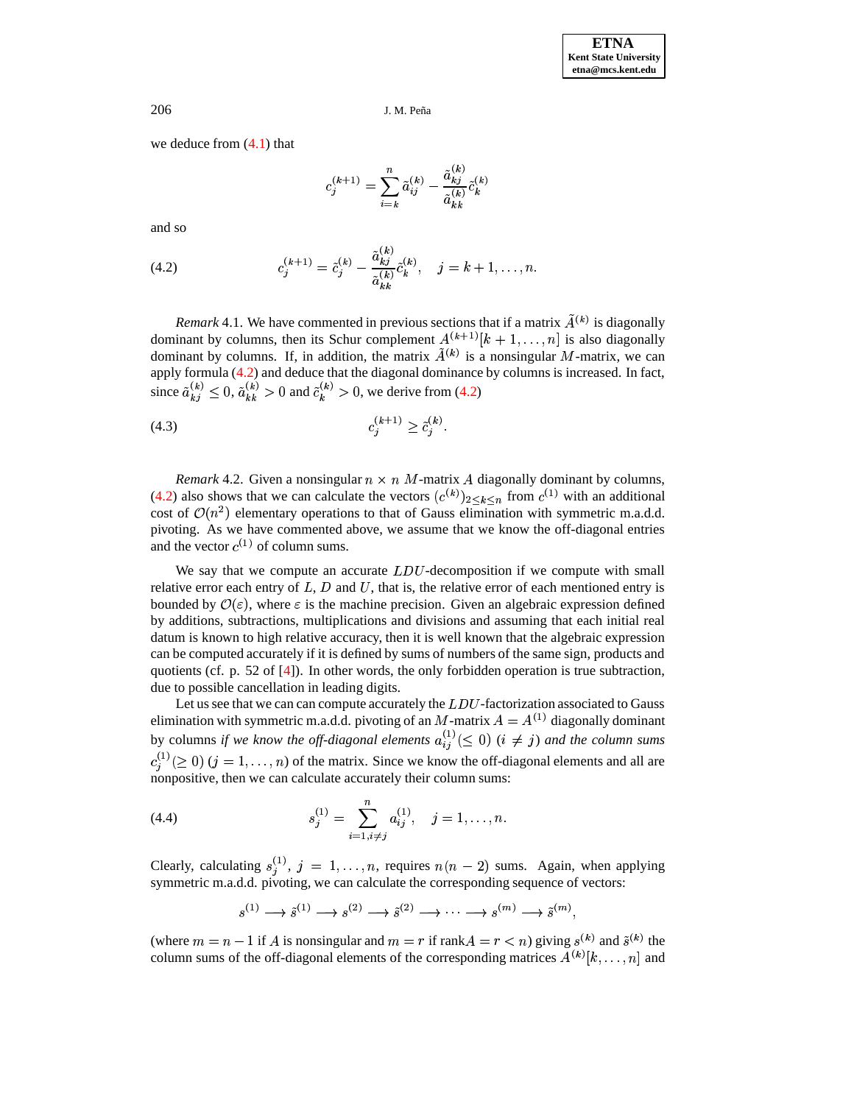we deduce from  $(4.1)$  that

$$
c_j^{(k+1)}=\sum_{i=k}^n \tilde a_{i j}^{(k)}-\frac{\tilde a_{k j}^{(k)}}{\tilde a_{k k}^{(k)}}\tilde c_k^{(k)}
$$

and so

<span id="page-8-0"></span>(4.2) 
$$
c_j^{(k+1)} = \tilde{c}_j^{(k)} - \frac{\tilde{a}_{kj}^{(k)}}{\tilde{a}_{kk}^{(k)}} \tilde{c}_k^{(k)}, \quad j = k+1, \dots, n.
$$

*Remark* 4.1. We have commented in previous sections that if a matrix  $A^{(k)}$  is diagonally dominant by columns, then its Schur complement  $A^{(k+1)}[k+1,\ldots,n]$  is also diagonally dominant by columns. If, in addition, the matrix  $A^{(k)}$  is a nonsingular M-matrix, we can apply formula [\(4.2\)](#page-8-0) and deduce that the diagonal dominance by columns is increased. In fact, since  $\tilde{a}_{ki}^{(k)} \leq 0$ ,  $\tilde{a}_{ki}^{(k)}$  $\tilde{a}_{k}^{(k)} \leq 0$ ,  $\tilde{a}_{k k}^{(k)} > 0$  and  $\tilde{c}_{k k}^{(k)} > 0$  and  $\tilde{c}_{k}^{(k)} > 0$ , v  $_{k}^{(k)} > 0$ , we derive from [\(4.2\)](#page-8-0)

(4.3) 
$$
c_j^{(k+1)} \geq \tilde{c}_j^{(k)}.
$$

*Remark* 4.2. Given a nonsingular  $n \times n$  *M*-matrix *A* diagonally dominant by columns, [\(4.2\)](#page-8-0) also shows that we can calculate the vectors  $(c^{(k)})_{2 \leq k \leq n}$  from  $c^{(1)}$  with an additional cost of  $\mathcal{O}(n^2)$  elementary operations to that of Gauss elimination with symmetric m.a.d.d. pivoting. As we have commented above, we assume that we know the off-diagonal entries and the vector  $c^{(1)}$  of column sums.

We say that we compute an accurate  $LDU$ -decomposition if we compute with small relative error each entry of  $L, D$  and  $U$ , that is, the relative error of each mentioned entry is bounded by  $\mathcal{O}(\varepsilon)$ , where  $\varepsilon$  is the machine precision. Given an algebraic expression defined by additions, subtractions, multiplications and divisions and assuming that each initial real datum is known to high relative accuracy, then it is well known that the algebraic expression can be computed accurately if it is defined by sums of numbers of the same sign, products and quotients (cf. p. 52 of [\[4\]](#page-10-7)). In other words, the only forbidden operation is true subtraction, due to possible cancellation in leading digits.

Let us see that we can can compute accurately the  $LDU$ -factorization associated to Gauss elimination with symmetric m.a.d.d. pivoting of an M-matrix  $A = A^{(1)}$  diagonally dominant by columns if we know the off-diagonal elements  $a_{ii}^{(1)}(\leq 0)$  (i  $\neq j$ ) and the column sums - 1 - 1 8  $\binom{1}{i} \geq 0$   $(j = 1, \ldots, n)$  of the matrix. Since we know the off-diagonal elements and all are nonpositive, then we can calculate accurately their column sums:

(4.4) 
$$
s_j^{(1)} = \sum_{i=1, i \neq j}^{n} a_{ij}^{(1)}, \quad j = 1, \dots, n.
$$

Clearly, calculating  $s_i^{(1)}$ ,  $j = 1, ..., n$ , requires  $n(n-2)$  sums. Again, when applying symmetric m.a.d.d. pivoting, we can calculate the corresponding sequence of vectors:

 $s^{(1)} \longrightarrow \tilde{s}^{(1)} \longrightarrow s^{(2)} \longrightarrow \tilde{s}^{(2)} \longrightarrow \cdots \longrightarrow s^{(m)} \longrightarrow \tilde{s}^{(m)},$ 

the contract of the contract of the contract of

(where  $m = n - 1$  if A is nonsingular and  $m = r$  if rank  $A = r < n$ ) giving  $s^{(k)}$  and  $\tilde{s}^{(k)}$  the column sums of the off-diagonal elements of the corresponding matrices  $A^{(k)}[k,\ldots,n]$  and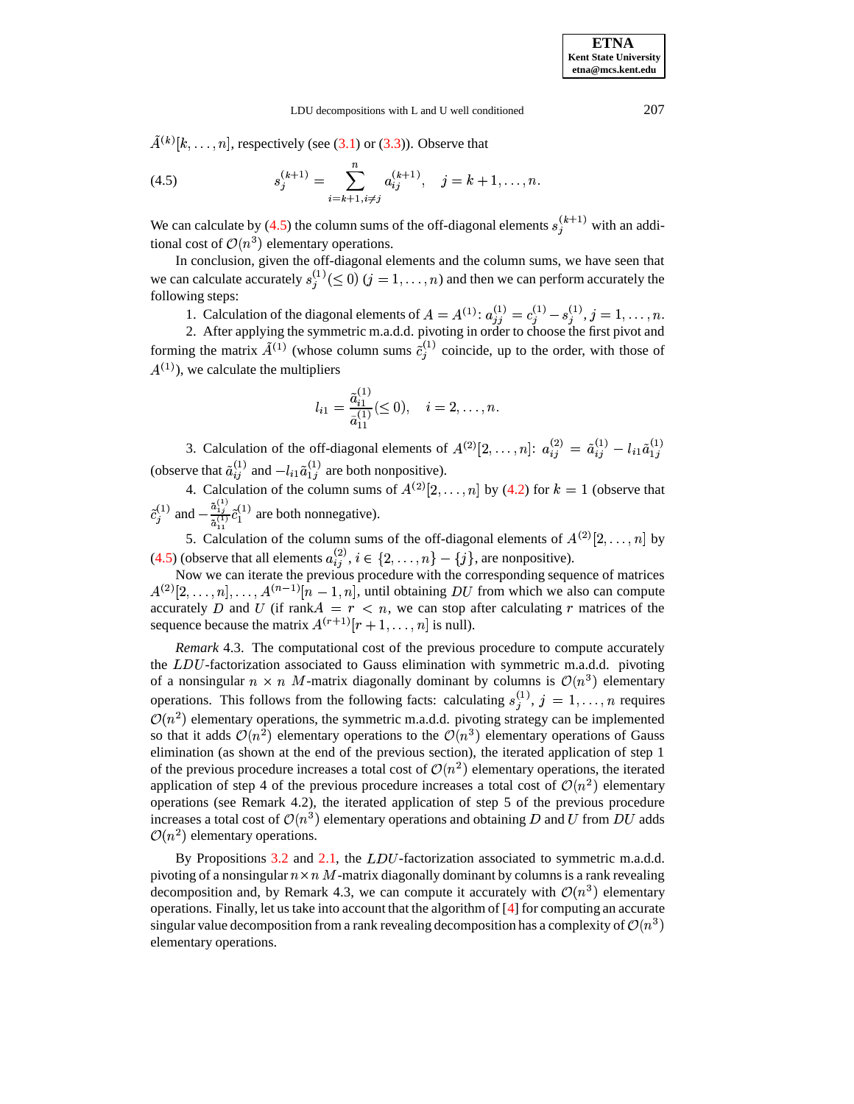$A^{(k)}[k,\ldots,n]$ , respectively (see [\(3.1\)](#page-3-0) or [\(3.3\)](#page-5-1)). Observe that

<span id="page-9-0"></span>(4.5) 
$$
s_j^{(k+1)} = \sum_{i=k+1, i \neq j}^{n} a_{ij}^{(k+1)}, \quad j = k+1, \dots, n.
$$

We can calculate by [\(4.5\)](#page-9-0) the column sums of the off-diagonal elements  $s_i^{(k+1)}$  with an additional cost of  $\mathcal{O}(n^3)$  elementary operations.

In conclusion, given the off-diagonal elements and the column sums, we have seen that we can calculate accurately  $s_i^{(1)}(\leq 0)$   $(j = 1, \ldots, n)$  and then we can perform accurately the following steps:

1. Calculation of the diagonal elements of  $A = A^{(1)}$ :  $a_{ii}^{(1)} = c_i^{(1)}$ .  $\begin{array}{ccc} \n\begin{array}{ccc} \n\cdot & \cdot & \n\cdot & \n\end{array} & \n\begin{array}{ccc} \n\cdot & \cdot & \n\cdot & \n\cdot & \n\end{array} & \n\end{array}$  8  $\gamma$  -  $\gamma$  -  $\gamma$  -  $\gamma$  -  $\gamma$  -  $\gamma$  -  $\gamma$  $s_i^{(1)}, j = 1, \ldots, n.$ 

2. After applying the symmetric m.a.d.d. pivoting in order to choose the first pivot and forming the matrix  $A^{(1)}$  (whose column sums  $\tilde{c}_i^{(1)}$  coincide, up to the order, with those of  $A^{(1)}$ ), we calculate the multipliers

$$
l_{i1} = \frac{\tilde{a}_{i1}^{(1)}}{\tilde{a}_{11}^{(1)}} (\leq 0), \quad i = 2, \ldots, n.
$$

3. Calculation of the off-diagonal elements of  $A^{(2)}[2,\ldots,n]$ :  $a_{ij}^{(2)} = \tilde{a}_{ij}^{(1)}$  $\overline{u}_1$   $\overline{u}_2$   $\overline{u}_1$   $\overline{u}_1$  8  $l_{ij}^{(1)}-l_{i1}\tilde{a}_{1j}^{(1)}$  8  $1i$ (observe that  $\tilde{a}_{ij}^{(1)}$  and  $-l_{i1}\tilde{a}_{1j}^{(1)}$  are both  $\binom{1}{1}$  are both nonpositive).

4. Calculation of the column sums of  $A^{(2)}[2,\ldots,n]$  by [\(4.2\)](#page-8-0) for  $k=1$  (observe that  $-2$   $-2$  $\epsilon_i^{(1)}$  and  $-\frac{a_{1j}}{2(1)}\tilde{c}_1^{(1)}$  are be  $\tilde{a}_{1}^{(1)}$  (1)  $\tilde{a}^{(1)}$  <sup>-1</sup>  $\cdots$  $_1^{(1)}$  are both nonnegative).

5. Calculation of the column sums of the off-diagonal elements of  $A^{(2)}[2,\ldots,n]$  by [\(4.5\)](#page-9-0) (observe that all elements  $a_{ii}^{(2)}$ ,  $i \in \{2, ..., n\} - \{j\}$ , are nonpositive).

Now we can iterate the previous procedure with the corresponding sequence of matrices  $A^{(2)}[2,\ldots,n],\ldots,A^{(n-1)}[n-1,n],$  until obtaining DU from which we also can compute accurately D and U (if  $rank A = r < n$ , we can stop after calculating r matrices of the sequence because the matrix  $A^{(r+1)}[r+1,\ldots,n]$  is null).

*Remark* 4.3. The computational cost of the previous procedure to compute accurately the  $LDU$ -factorization associated to Gauss elimination with symmetric m.a.d.d. pivoting of a nonsingular  $n \times n$  M-matrix diagonally dominant by columns is  $\mathcal{O}(n^3)$  elementary operations. This follows from the following facts: calculating  $s_j^{(1)}$ ,  $j = 1, \ldots, n$  requires  $\mathcal{O}(n^2)$  elementary operations, the symmetric m.a.d.d. pivoting strategy can be implemented so that it adds  $\mathcal{O}(n^2)$  elementary operations to the  $\mathcal{O}(n^3)$  elementary operations of Gauss elimination (as shown at the end of the previous section), the iterated application of step 1 of the previous procedure increases a total cost of  $\mathcal{O}(n^2)$  elementary operations, the iterated application of step 4 of the previous procedure increases a total cost of  $\mathcal{O}(n^2)$  elementary operations (see Remark 4.2), the iterated application of step 5 of the previous procedure increases a total cost of  $\mathcal{O}(n^3)$  elementary operations and obtaining D and U from DU adds  $\mathcal{O}(n^2)$  elementary operations.

By Propositions  $3.2$  and  $2.1$ , the  $LDU$ -factorization associated to symmetric m.a.d.d. pivoting of a nonsingular  $n \times n$  *M*-matrix diagonally dominant by columns is a rank revealing decomposition and, by Remark 4.3, we can compute it accurately with  $\mathcal{O}(n^3)$  elementary operations. Finally, let us take into account that the algorithm of  $[4]$  for computing an accurate singular value decomposition from a rank revealing decomposition has a complexity of  $\mathcal{O}(n^3)$ elementary operations.